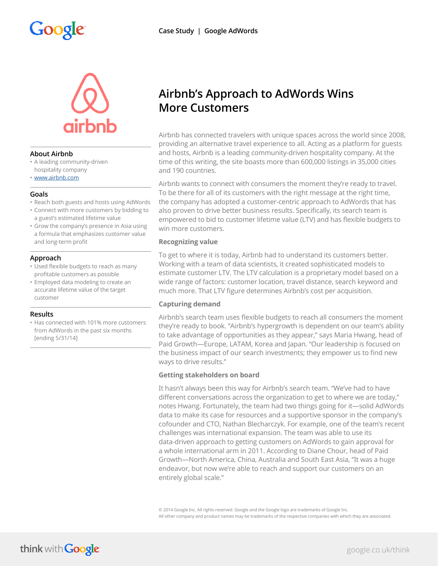# Google



### **About Airbnb**

- A leading community-driven
- hospitality company • [www.airbnb.com](http://www.airbnb.com)

### **Goals**

- Reach both guests and hosts using AdWords
- Connect with more customers by bidding to a guest's estimated lifetime value
- Grow the company's presence in Asia using a formula that emphasizes customer value and long-term profit

## **Approach**

- Used flexible budgets to reach as many profitable customers as possible
- Employed data modeling to create an accurate lifetime value of the target customer

### **Results**

• Has connected with 101% more customers from AdWords in the past six months [ending 5/31/14]

# **Airbnb's Approach to AdWords Wins More Customers**

Airbnb has connected travelers with unique spaces across the world since 2008, providing an alternative travel experience to all. Acting as a platform for guests and hosts, Airbnb is a leading community-driven hospitality company. At the time of this writing, the site boasts more than 600,000 listings in 35,000 cities and 190 countries.

Airbnb wants to connect with consumers the moment they're ready to travel. To be there for all of its customers with the right message at the right time, the company has adopted a customer-centric approach to AdWords that has also proven to drive better business results. Specifically, its search team is empowered to bid to customer lifetime value (LTV) and has flexible budgets to win more customers.

### **Recognizing value**

To get to where it is today, Airbnb had to understand its customers better. Working with a team of data scientists, it created sophisticated models to estimate customer LTV. The LTV calculation is a proprietary model based on a wide range of factors: customer location, travel distance, search keyword and much more. That LTV figure determines Airbnb's cost per acquisition.

## **Capturing demand**

Airbnb's search team uses flexible budgets to reach all consumers the moment they're ready to book. "Airbnb's hypergrowth is dependent on our team's ability to take advantage of opportunities as they appear," says Maria Hwang, head of Paid Growth—Europe, LATAM, Korea and Japan. "Our leadership is focused on the business impact of our search investments; they empower us to find new ways to drive results."

### **Getting stakeholders on board**

It hasn't always been this way for Airbnb's search team. "We've had to have different conversations across the organization to get to where we are today," notes Hwang. Fortunately, the team had two things going for it—solid AdWords data to make its case for resources and a supportive sponsor in the company's cofounder and CTO, Nathan Blecharczyk. For example, one of the team's recent challenges was international expansion. The team was able to use its data-driven approach to getting customers on AdWords to gain approval for a whole international arm in 2011. According to Diane Chour, head of Paid Growth—North America, China, Australia and South East Asia, "It was a huge endeavor, but now we're able to reach and support our customers on an entirely global scale."

© 2014 Google Inc. All rights reserved. Google and the Google logo are trademarks of Google Inc. All other company and product names may be trademarks of the respective companies with which they are associated.